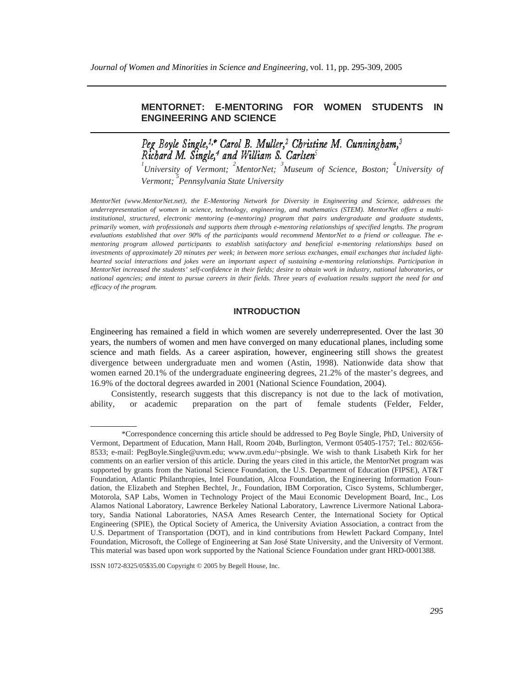# **MENTORNET: E-MENTORING FOR WOMEN STUDENTS IN ENGINEERING AND SCIENCE**

Peg Boyle Single,<sup>1,\*</sup> Carol B. Muller,<sup>2</sup> Christine M. Cunningham,<sup>3</sup>

*1 University of Vermont; <sup>2</sup> MentorNet; <sup>3</sup> Museum of Science, Boston; <sup>4</sup> University of Vermont; 5 Pennsylvania State University* 

*MentorNet (www.MentorNet.net), the E-Mentoring Network for Diversity in Engineering and Science, addresses the underrepresentation of women in science, technology, engineering, and mathematics (STEM). MentorNet offers a multiinstitutional, structured, electronic mentoring (e-mentoring) program that pairs undergraduate and graduate students, primarily women, with professionals and supports them through e-mentoring relationships of specified lengths. The program evaluations established that over 90% of the participants would recommend MentorNet to a friend or colleague. The ementoring program allowed participants to establish satisfactory and beneficial e-mentoring relationships based on investments of approximately 20 minutes per week; in between more serious exchanges, email exchanges that included lighthearted social interactions and jokes were an important aspect of sustaining e-mentoring relationships. Participation in MentorNet increased the students' self-confidence in their fields; desire to obtain work in industry, national laboratories, or national agencies; and intent to pursue careers in their fields. Three years of evaluation results support the need for and efficacy of the program.*

# **INTRODUCTION**

Engineering has remained a field in which women are severely underrepresented. Over the last 30 years, the numbers of women and men have converged on many educational planes, including some science and math fields. As a career aspiration, however, engineering still shows the greatest divergence between undergraduate men and women (Astin, 1998). Nationwide data show that women earned 20.1% of the undergraduate engineering degrees, 21.2% of the master's degrees, and 16.9% of the doctoral degrees awarded in 2001 (National Science Foundation, 2004).

Consistently, research suggests that this discrepancy is not due to the lack of motivation, ability, or academic preparation on the part of female students (Felder, Felder,

\_\_\_\_\_\_\_\_\_\_\_\_

<sup>\*</sup>Correspondence concerning this article should be addressed to Peg Boyle Single, PhD, University of Vermont, Department of Education, Mann Hall, Room 204b, Burlington, Vermont 05405-1757; Tel.: 802/656- 8533; e-mail: PegBoyle.Single@uvm.edu; www.uvm.edu/~pbsingle. We wish to thank Lisabeth Kirk for her comments on an earlier version of this article. During the years cited in this article, the MentorNet program was supported by grants from the National Science Foundation, the U.S. Department of Education (FIPSE), AT&T Foundation, Atlantic Philanthropies, Intel Foundation, Alcoa Foundation, the Engineering Information Foundation, the Elizabeth and Stephen Bechtel, Jr., Foundation, IBM Corporation, Cisco Systems, Schlumberger, Motorola, SAP Labs, Women in Technology Project of the Maui Economic Development Board, Inc., Los Alamos National Laboratory, Lawrence Berkeley National Laboratory, Lawrence Livermore National Laboratory, Sandia National Laboratories, NASA Ames Research Center, the International Society for Optical Engineering (SPIE), the Optical Society of America, the University Aviation Association, a contract from the U.S. Department of Transportation (DOT), and in kind contributions from Hewlett Packard Company, Intel Foundation, Microsoft, the College of Engineering at San José State University, and the University of Vermont. This material was based upon work supported by the National Science Foundation under grant HRD-0001388.

ISSN 1072-8325/05\$35.00 Copyright © 2005 by Begell House, Inc.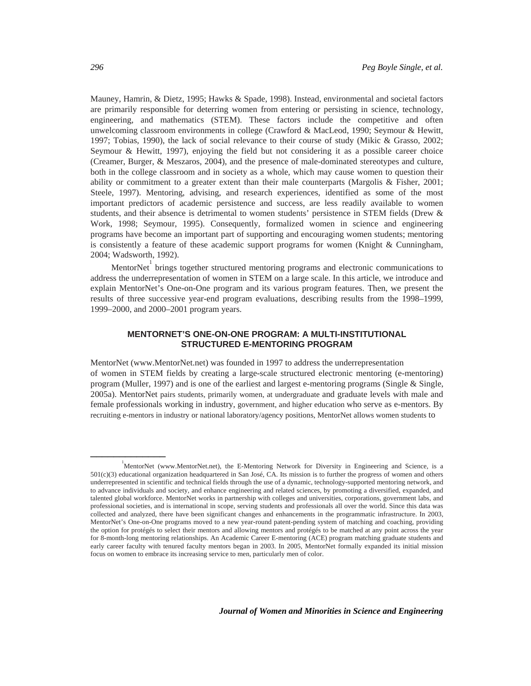Mauney, Hamrin, & Dietz, 1995; Hawks & Spade, 1998). Instead, environmental and societal factors are primarily responsible for deterring women from entering or persisting in science, technology, engineering, and mathematics (STEM). These factors include the competitive and often unwelcoming classroom environments in college (Crawford & MacLeod, 1990; Seymour & Hewitt, 1997; Tobias, 1990), the lack of social relevance to their course of study (Mikic & Grasso, 2002; Seymour & Hewitt, 1997), enjoying the field but not considering it as a possible career choice (Creamer, Burger, & Meszaros, 2004), and the presence of male-dominated stereotypes and culture, both in the college classroom and in society as a whole, which may cause women to question their ability or commitment to a greater extent than their male counterparts (Margolis & Fisher, 2001; Steele, 1997). Mentoring, advising, and research experiences, identified as some of the most important predictors of academic persistence and success, are less readily available to women students, and their absence is detrimental to women students' persistence in STEM fields (Drew & Work, 1998; Seymour, 1995). Consequently, formalized women in science and engineering programs have become an important part of supporting and encouraging women students; mentoring is consistently a feature of these academic support programs for women (Knight  $\&$  Cunningham, 2004; Wadsworth, 1992).

MentorNet  $\frac{1}{1}$  brings together structured mentoring programs and electronic communications to address the underrepresentation of women in STEM on a large scale. In this article, we introduce and explain MentorNet's One-on-One program and its various program features. Then, we present the results of three successive year-end program evaluations, describing results from the 1998–1999, 1999–2000, and 2000–2001 program years.

# **MENTORNET'S ONE-ON-ONE PROGRAM: A MULTI-INSTITUTIONAL STRUCTURED E-MENTORING PROGRAM**

MentorNet (www.MentorNet.net) was founded in 1997 to address the underrepresentation of women in STEM fields by creating a large-scale structured electronic mentoring (e-mentoring) program (Muller, 1997) and is one of the earliest and largest e-mentoring programs (Single & Single, 2005a). MentorNet pairs students, primarily women, at undergraduate and graduate levels with male and female professionals working in industry, government, and higher education who serve as e-mentors. By recruiting e-mentors in industry or national laboratory/agency positions, MentorNet allows women students to

\_\_\_\_\_\_\_\_\_\_\_\_\_

<sup>&</sup>lt;sup>1</sup><br>MentorNet (www.MentorNet.net), the E-Mentoring Network for Diversity in Engineering and Science, is a  $501(c)(3)$  educational organization headquartered in San José, CA. Its mission is to further the progress of women and others underrepresented in scientific and technical fields through the use of a dynamic, technology-supported mentoring network, and to advance individuals and society, and enhance engineering and related sciences, by promoting a diversified, expanded, and talented global workforce. MentorNet works in partnership with colleges and universities, corporations, government labs, and professional societies, and is international in scope, serving students and professionals all over the world. Since this data was collected and analyzed, there have been significant changes and enhancements in the programmatic infrastructure. In 2003, MentorNet's One-on-One programs moved to a new year-round patent-pending system of matching and coaching, providing the option for protégés to select their mentors and allowing mentors and protégés to be matched at any point across the year for 8-month-long mentoring relationships. An Academic Career E-mentoring (ACE) program matching graduate students and early career faculty with tenured faculty mentors began in 2003. In 2005, MentorNet formally expanded its initial mission focus on women to embrace its increasing service to men, particularly men of color.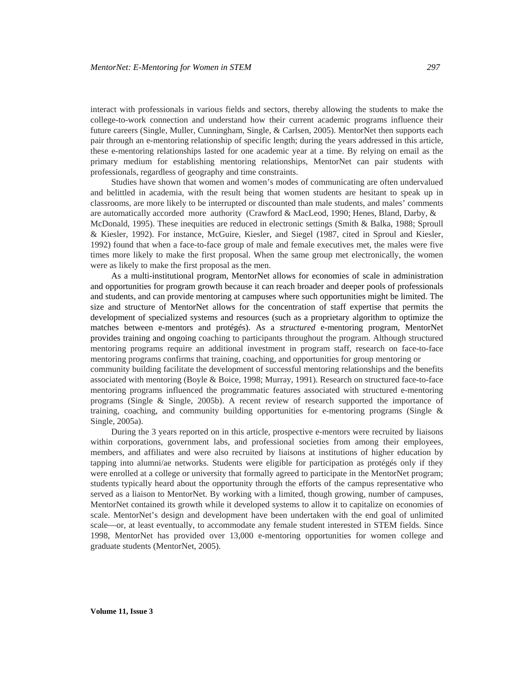interact with professionals in various fields and sectors, thereby allowing the students to make the college-to-work connection and understand how their current academic programs influence their future careers (Single, Muller, Cunningham, Single, & Carlsen, 2005). MentorNet then supports each pair through an e-mentoring relationship of specific length; during the years addressed in this article, these e-mentoring relationships lasted for one academic year at a time. By relying on email as the primary medium for establishing mentoring relationships, MentorNet can pair students with professionals, regardless of geography and time constraints.

Studies have shown that women and women's modes of communicating are often undervalued and belittled in academia, with the result being that women students are hesitant to speak up in classrooms, are more likely to be interrupted or discounted than male students, and males' comments are automatically accorded more authority (Crawford & MacLeod, 1990; Henes, Bland, Darby, & McDonald, 1995). These inequities are reduced in electronic settings (Smith & Balka, 1988; Sproull & Kiesler, 1992). For instance, McGuire, Kiesler, and Siegel (1987, cited in Sproul and Kiesler, 1992) found that when a face-to-face group of male and female executives met, the males were five times more likely to make the first proposal. When the same group met electronically, the women were as likely to make the first proposal as the men.

As a multi-institutional program, MentorNet allows for economies of scale in administration and opportunities for program growth because it can reach broader and deeper pools of professionals and students, and can provide mentoring at campuses where such opportunities might be limited. The size and structure of MentorNet allows for the concentration of staff expertise that permits the development of specialized systems and resources (such as a proprietary algorithm to optimize the matches between e-mentors and protégés). As a *structured* e-mentoring program, MentorNet provides training and ongoing coaching to participants throughout the program. Although structured mentoring programs require an additional investment in program staff, research on face-to-face mentoring programs confirms that training, coaching, and opportunities for group mentoring or community building facilitate the development of successful mentoring relationships and the benefits associated with mentoring (Boyle & Boice, 1998; Murray, 1991). Research on structured face-to-face mentoring programs influenced the programmatic features associated with structured e-mentoring programs (Single & Single, 2005b). A recent review of research supported the importance of training, coaching, and community building opportunities for e-mentoring programs (Single & Single, 2005a).

During the 3 years reported on in this article, prospective e-mentors were recruited by liaisons within corporations, government labs, and professional societies from among their employees, members, and affiliates and were also recruited by liaisons at institutions of higher education by tapping into alumni/ae networks. Students were eligible for participation as protégés only if they were enrolled at a college or university that formally agreed to participate in the MentorNet program; students typically heard about the opportunity through the efforts of the campus representative who served as a liaison to MentorNet. By working with a limited, though growing, number of campuses, MentorNet contained its growth while it developed systems to allow it to capitalize on economies of scale. MentorNet's design and development have been undertaken with the end goal of unlimited scale—or, at least eventually, to accommodate any female student interested in STEM fields. Since 1998, MentorNet has provided over 13,000 e-mentoring opportunities for women college and graduate students (MentorNet, 2005).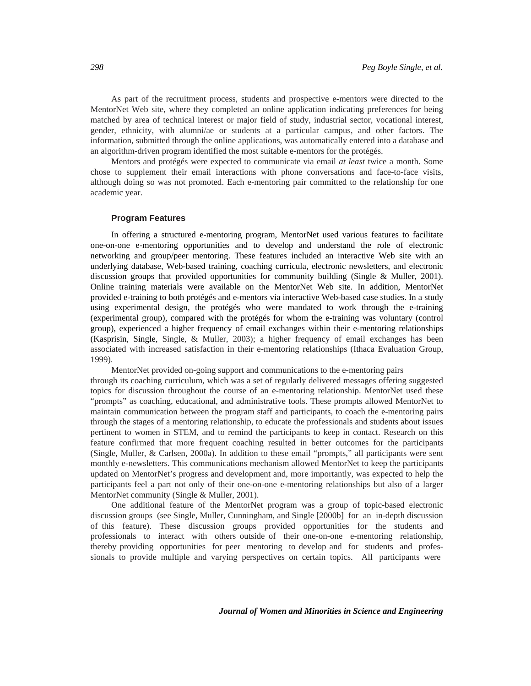As part of the recruitment process, students and prospective e-mentors were directed to the MentorNet Web site, where they completed an online application indicating preferences for being matched by area of technical interest or major field of study, industrial sector, vocational interest, gender, ethnicity, with alumni/ae or students at a particular campus, and other factors. The information, submitted through the online applications, was automatically entered into a database and an algorithm-driven program identified the most suitable e-mentors for the protégés.

Mentors and protégés were expected to communicate via email *at least* twice a month. Some chose to supplement their email interactions with phone conversations and face-to-face visits, although doing so was not promoted. Each e-mentoring pair committed to the relationship for one academic year.

#### **Program Features**

In offering a structured e-mentoring program, MentorNet used various features to facilitate one-on-one e-mentoring opportunities and to develop and understand the role of electronic networking and group/peer mentoring. These features included an interactive Web site with an underlying database, Web-based training, coaching curricula, electronic newsletters, and electronic discussion groups that provided opportunities for community building (Single & Muller, 2001). Online training materials were available on the MentorNet Web site. In addition, MentorNet provided e-training to both protégés and e-mentors via interactive Web-based case studies. In a study using experimental design, the protégés who were mandated to work through the e-training (experimental group), compared with the protégés for whom the e-training was voluntary (control group), experienced a higher frequency of email exchanges within their e-mentoring relationships (Kasprisin, Single, Single, & Muller, 2003); a higher frequency of email exchanges has been associated with increased satisfaction in their e-mentoring relationships (Ithaca Evaluation Group, 1999).

MentorNet provided on-going support and communications to the e-mentoring pairs through its coaching curriculum, which was a set of regularly delivered messages offering suggested topics for discussion throughout the course of an e-mentoring relationship. MentorNet used these "prompts" as coaching, educational, and administrative tools. These prompts allowed MentorNet to maintain communication between the program staff and participants, to coach the e-mentoring pairs through the stages of a mentoring relationship, to educate the professionals and students about issues pertinent to women in STEM, and to remind the participants to keep in contact. Research on this feature confirmed that more frequent coaching resulted in better outcomes for the participants (Single, Muller, & Carlsen, 2000a). In addition to these email "prompts," all participants were sent monthly e-newsletters. This communications mechanism allowed MentorNet to keep the participants updated on MentorNet's progress and development and, more importantly, was expected to help the participants feel a part not only of their one-on-one e-mentoring relationships but also of a larger MentorNet community (Single & Muller, 2001).

One additional feature of the MentorNet program was a group of topic-based electronic discussion groups (see Single, Muller, Cunningham, and Single [2000b] for an in-depth discussion of this feature). These discussion groups provided opportunities for the students and professionals to interact with others outside of their one-on-one e-mentoring relationship, thereby providing opportunities for peer mentoring to develop and for students and professionals to provide multiple and varying perspectives on certain topics. All participants were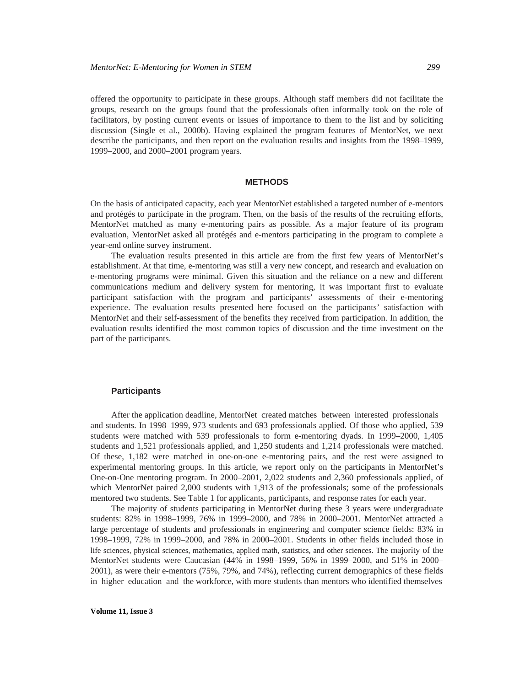offered the opportunity to participate in these groups. Although staff members did not facilitate the groups, research on the groups found that the professionals often informally took on the role of facilitators, by posting current events or issues of importance to them to the list and by soliciting discussion (Single et al., 2000b). Having explained the program features of MentorNet, we next describe the participants, and then report on the evaluation results and insights from the 1998–1999, 1999–2000, and 2000–2001 program years.

#### **METHODS**

On the basis of anticipated capacity, each year MentorNet established a targeted number of e-mentors and protégés to participate in the program. Then, on the basis of the results of the recruiting efforts, MentorNet matched as many e-mentoring pairs as possible. As a major feature of its program evaluation, MentorNet asked all protégés and e-mentors participating in the program to complete a year-end online survey instrument.

The evaluation results presented in this article are from the first few years of MentorNet's establishment. At that time, e-mentoring was still a very new concept, and research and evaluation on e-mentoring programs were minimal. Given this situation and the reliance on a new and different communications medium and delivery system for mentoring, it was important first to evaluate participant satisfaction with the program and participants' assessments of their e-mentoring experience. The evaluation results presented here focused on the participants' satisfaction with MentorNet and their self-assessment of the benefits they received from participation. In addition, the evaluation results identified the most common topics of discussion and the time investment on the part of the participants.

# **Participants**

After the application deadline, MentorNet created matches between interested professionals and students. In 1998–1999, 973 students and 693 professionals applied. Of those who applied, 539 students were matched with 539 professionals to form e-mentoring dyads. In 1999–2000, 1,405 students and 1,521 professionals applied, and 1,250 students and 1,214 professionals were matched. Of these, 1,182 were matched in one-on-one e-mentoring pairs, and the rest were assigned to experimental mentoring groups. In this article, we report only on the participants in MentorNet's One-on-One mentoring program. In 2000–2001, 2,022 students and 2,360 professionals applied, of which MentorNet paired 2,000 students with 1,913 of the professionals; some of the professionals mentored two students. See Table 1 for applicants, participants, and response rates for each year.

The majority of students participating in MentorNet during these 3 years were undergraduate students: 82% in 1998–1999, 76% in 1999–2000, and 78% in 2000–2001. MentorNet attracted a large percentage of students and professionals in engineering and computer science fields: 83% in 1998–1999, 72% in 1999–2000, and 78% in 2000–2001. Students in other fields included those in life sciences, physical sciences, mathematics, applied math, statistics, and other sciences. The majority of the MentorNet students were Caucasian (44% in 1998–1999, 56% in 1999–2000, and 51% in 2000– 2001), as were their e-mentors (75%, 79%, and 74%), reflecting current demographics of these fields in higher education and the workforce, with more students than mentors who identified themselves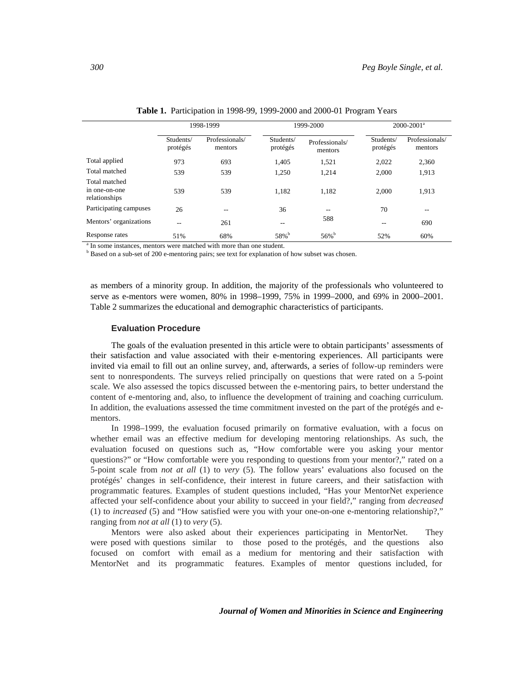|                                                 | 1998-1999<br>Professionals/<br>Students/ |          | 1999-2000             |                           | $2000 - 2001$ <sup>a</sup> |                           |
|-------------------------------------------------|------------------------------------------|----------|-----------------------|---------------------------|----------------------------|---------------------------|
|                                                 | protégés                                 | mentors  | Students/<br>protégés | Professionals/<br>mentors | Students/<br>protégés      | Professionals/<br>mentors |
| Total applied                                   | 973                                      | 693      | 1.405                 | 1,521                     | 2,022                      | 2,360                     |
| Total matched                                   | 539                                      | 539      | 1,250                 | 1,214                     | 2,000                      | 1,913                     |
| Total matched<br>in one-on-one<br>relationships | 539                                      | 539      | 1.182                 | 1.182                     | 2.000                      | 1,913                     |
| Participating campuses                          | 26                                       |          | 36                    | --                        | 70                         | --                        |
| Mentors' organizations                          | --                                       | 261      | $- -$                 | 588                       |                            | 690                       |
| Response rates<br>$\sim$                        | 51%                                      | 68%<br>. | 58% <sup>b</sup>      | $56\%$ <sup>b</sup>       | 52%                        | 60%                       |

**Table 1.** Participation in 1998-99, 1999-2000 and 2000-01 Program Years

<sup>a</sup> In some instances, mentors were matched with more than one student.

<sup>b</sup> Based on a sub-set of 200 e-mentoring pairs; see text for explanation of how subset was chosen.

as members of a minority group. In addition, the majority of the professionals who volunteered to serve as e-mentors were women, 80% in 1998–1999, 75% in 1999–2000, and 69% in 2000–2001. Table 2 summarizes the educational and demographic characteristics of participants.

### **Evaluation Procedure**

The goals of the evaluation presented in this article were to obtain participants' assessments of their satisfaction and value associated with their e-mentoring experiences. All participants were invited via email to fill out an online survey, and, afterwards, a series of follow-up reminders were sent to nonrespondents. The surveys relied principally on questions that were rated on a 5-point scale. We also assessed the topics discussed between the e-mentoring pairs, to better understand the content of e-mentoring and, also, to influence the development of training and coaching curriculum. In addition, the evaluations assessed the time commitment invested on the part of the protégés and ementors.

In 1998–1999, the evaluation focused primarily on formative evaluation, with a focus on whether email was an effective medium for developing mentoring relationships. As such, the evaluation focused on questions such as, "How comfortable were you asking your mentor questions?" or "How comfortable were you responding to questions from your mentor?," rated on a 5-point scale from *not at all* (1) to *very* (5). The follow years' evaluations also focused on the protégés' changes in self-confidence, their interest in future careers, and their satisfaction with programmatic features. Examples of student questions included, "Has your MentorNet experience affected your self-confidence about your ability to succeed in your field?," ranging from *decreased* (1) to *increased* (5) and "How satisfied were you with your one-on-one e-mentoring relationship?," ranging from *not at all* (1) to *very* (5).

Mentors were also asked about their experiences participating in MentorNet. They were posed with questions similar to those posed to the protégés, and the questions also focused on comfort with email as a medium for mentoring and their satisfaction with MentorNet and its programmatic features. Examples of mentor questions included, for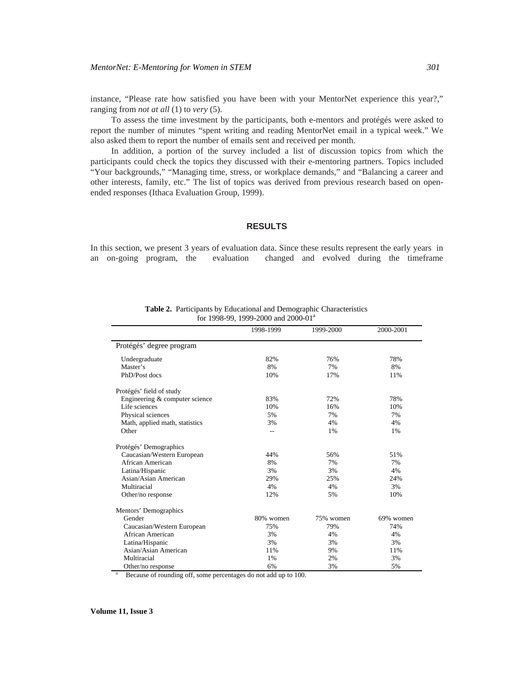instance, "Please rate how satisfied you have been with your MentorNet experience this year?," ranging from *not at all* (1) to *very* (5).

To assess the time investment by the participants, both e-mentors and protégés were asked to report the number of minutes "spent writing and reading MentorNet email in a typical week." We also asked them to report the number of emails sent and received per month.

In addition, a portion of the survey included a list of discussion topics from which the participants could check the topics they discussed with their e-mentoring partners. Topics included "Your backgrounds," "Managing time, stress, or workplace demands," and "Balancing a career and other interests, family, etc." The list of topics was derived from previous research based on openended responses (Ithaca Evaluation Group, 1999).

### **RESULTS**

In this section, we present 3 years of evaluation data. Since these results represent the early years in an on-going program, the evaluation changed and evolved during the timeframe

|                                | 1998-1999 | 1999-2000 | 2000-2001 |
|--------------------------------|-----------|-----------|-----------|
| Protégés' degree program       |           |           |           |
| Undergraduate                  | 82%       | 76%       | 78%       |
| Master's                       | 8%        | 7%        | 8%        |
| PhD/Post docs                  | 10%       | 17%       | 11%       |
| Protégés' field of study       |           |           |           |
| Engineering & computer science | 83%       | 72%       | 78%       |
| Life sciences                  | 10%       | 16%       | 10%       |
| Physical sciences              | 5%        | 7%        | 7%        |
| Math, applied math, statistics | 3%        | 4%        | 4%        |
| Other                          | $-$       | 1%        | 1%        |
| Protégés' Demographics         |           |           |           |
| Caucasian/Western European     | 44%       | 56%       | 51%       |
| African American               | 8%        | 7%        | 7%        |
| Latina/Hispanic                | 3%        | 3%        | 4%        |
| Asian/Asian American           | 29%       | 25%       | 24%       |
| Multiracial                    | 4%        | 4%        | 3%        |
| Other/no response              | 12%       | 5%        | 10%       |
| Mentors' Demographics          |           |           |           |
| Gender                         | 80% women | 75% women | 69% women |
| Caucasian/Western European     | 75%       | 79%       | 74%       |
| African American               | 3%        | 4%        | 4%        |
| Latina/Hispanic                | 3%        | 3%        | 3%        |
| Asian/Asian American           | 11%       | 9%        | 11%       |
| Multiracial                    | 1%        | 2%        | 3%        |
| Other/no response              | 6%        | 3%        | 5%        |

**Table 2.** Participants by Educational and Demographic Characteristics for 1998-99, 1999-2000 and 2000-01<sup>a</sup>

Because of rounding off, some percentages do not add up to 100.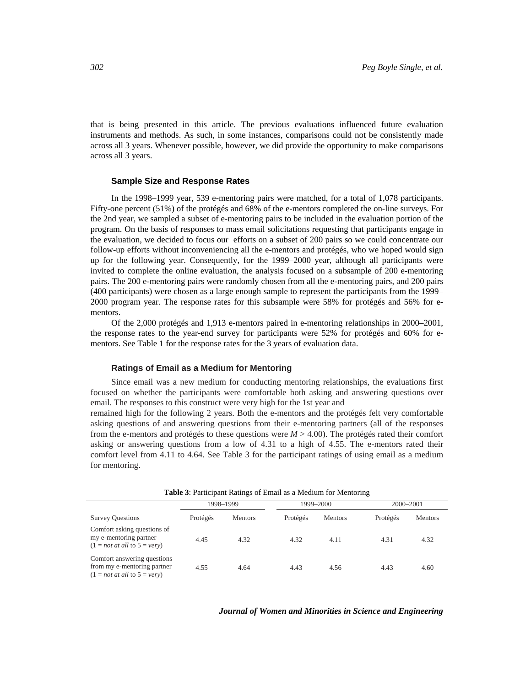that is being presented in this article. The previous evaluations influenced future evaluation instruments and methods. As such, in some instances, comparisons could not be consistently made across all 3 years. Whenever possible, however, we did provide the opportunity to make comparisons across all 3 years.

#### **Sample Size and Response Rates**

In the 1998–1999 year, 539 e-mentoring pairs were matched, for a total of 1,078 participants. Fifty-one percent (51%) of the protégés and 68% of the e-mentors completed the on-line surveys. For the 2nd year, we sampled a subset of e-mentoring pairs to be included in the evaluation portion of the program. On the basis of responses to mass email solicitations requesting that participants engage in the evaluation, we decided to focus our efforts on a subset of 200 pairs so we could concentrate our follow-up efforts without inconveniencing all the e-mentors and protégés, who we hoped would sign up for the following year. Consequently, for the 1999–2000 year, although all participants were invited to complete the online evaluation, the analysis focused on a subsample of 200 e-mentoring pairs. The 200 e-mentoring pairs were randomly chosen from all the e-mentoring pairs, and 200 pairs (400 participants) were chosen as a large enough sample to represent the participants from the 1999– 2000 program year. The response rates for this subsample were 58% for protégés and 56% for ementors.

Of the 2,000 protégés and 1,913 e-mentors paired in e-mentoring relationships in 2000–2001, the response rates to the year-end survey for participants were 52% for protégés and 60% for ementors. See Table 1 for the response rates for the 3 years of evaluation data.

#### **Ratings of Email as a Medium for Mentoring**

Since email was a new medium for conducting mentoring relationships, the evaluations first focused on whether the participants were comfortable both asking and answering questions over email. The responses to this construct were very high for the 1st year and

remained high for the following 2 years. Both the e-mentors and the protégés felt very comfortable asking questions of and answering questions from their e-mentoring partners (all of the responses from the e-mentors and protégés to these questions were *M* > 4.00). The protégés rated their comfort asking or answering questions from a low of 4.31 to a high of 4.55. The e-mentors rated their comfort level from 4.11 to 4.64. See Table 3 for the participant ratings of using email as a medium for mentoring.

| <b>Table 5.</b> Family Ramps of Email as a Medium for Memoring                               |           |                |           |                |           |                |
|----------------------------------------------------------------------------------------------|-----------|----------------|-----------|----------------|-----------|----------------|
|                                                                                              | 1998-1999 |                | 1999-2000 |                | 2000-2001 |                |
| <b>Survey Questions</b>                                                                      | Protégés  | <b>Mentors</b> | Protégés  | <b>Mentors</b> | Protégés  | <b>Mentors</b> |
| Comfort asking questions of<br>my e-mentoring partner<br>$(1 = not at all to 5 = very)$      | 4.45      | 4.32           | 4.32      | 4.11           | 4.31      | 4.32           |
| Comfort answering questions<br>from my e-mentoring partner<br>$(1 = not at all to 5 = very)$ | 4.55      | 4.64           | 4.43      | 4.56           | 4.43      | 4.60           |

**Table 3**: Participant Ratings of Email as a Medium for Mentoring

#### *Journal of Women and Minorities in Science and Engineering*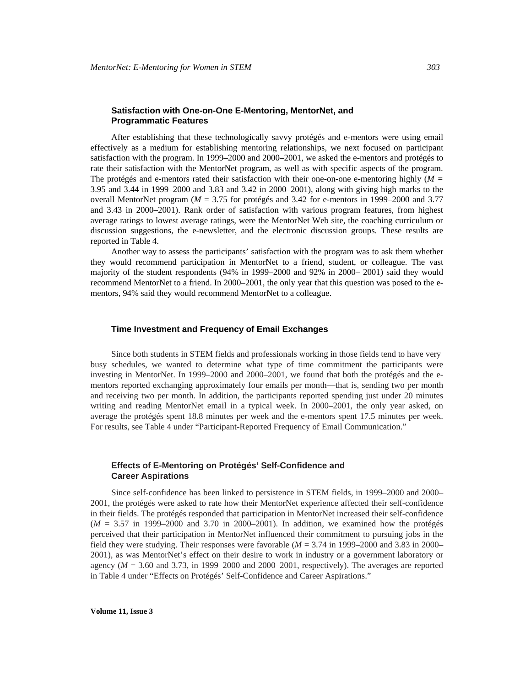### **Satisfaction with One-on-One E-Mentoring, MentorNet, and Programmatic Features**

After establishing that these technologically savvy protégés and e-mentors were using email effectively as a medium for establishing mentoring relationships, we next focused on participant satisfaction with the program. In 1999–2000 and 2000–2001, we asked the e-mentors and protégés to rate their satisfaction with the MentorNet program, as well as with specific aspects of the program. The protégés and e-mentors rated their satisfaction with their one-on-one e-mentoring highly (*M =*  3.95 and 3.44 in 1999–2000 and 3.83 and 3.42 in 2000–2001), along with giving high marks to the overall MentorNet program (*M* = 3.75 for protégés and 3.42 for e-mentors in 1999–2000 and 3.77 and 3.43 in 2000–2001). Rank order of satisfaction with various program features, from highest average ratings to lowest average ratings, were the MentorNet Web site, the coaching curriculum or discussion suggestions, the e-newsletter, and the electronic discussion groups. These results are reported in Table 4.

Another way to assess the participants' satisfaction with the program was to ask them whether they would recommend participation in MentorNet to a friend, student, or colleague. The vast majority of the student respondents (94% in 1999–2000 and 92% in 2000– 2001) said they would recommend MentorNet to a friend. In 2000–2001, the only year that this question was posed to the ementors, 94% said they would recommend MentorNet to a colleague.

### **Time Investment and Frequency of Email Exchanges**

Since both students in STEM fields and professionals working in those fields tend to have very busy schedules, we wanted to determine what type of time commitment the participants were investing in MentorNet. In 1999–2000 and 2000–2001, we found that both the protégés and the ementors reported exchanging approximately four emails per month—that is, sending two per month and receiving two per month. In addition, the participants reported spending just under 20 minutes writing and reading MentorNet email in a typical week. In 2000–2001, the only year asked, on average the protégés spent 18.8 minutes per week and the e-mentors spent 17.5 minutes per week. For results, see Table 4 under "Participant-Reported Frequency of Email Communication."

### **Effects of E-Mentoring on Protégés' Self-Confidence and Career Aspirations**

Since self-confidence has been linked to persistence in STEM fields, in 1999–2000 and 2000– 2001, the protégés were asked to rate how their MentorNet experience affected their self-confidence in their fields. The protégés responded that participation in MentorNet increased their self-confidence (*M* = 3.57 in 1999–2000 and 3.70 in 2000–2001). In addition, we examined how the protégés perceived that their participation in MentorNet influenced their commitment to pursuing jobs in the field they were studying. Their responses were favorable  $(M = 3.74$  in 1999–2000 and 3.83 in 2000– 2001), as was MentorNet's effect on their desire to work in industry or a government laboratory or agency  $(M = 3.60$  and  $3.73$ , in 1999–2000 and  $2000-2001$ , respectively). The averages are reported in Table 4 under "Effects on Protégés' Self-Confidence and Career Aspirations."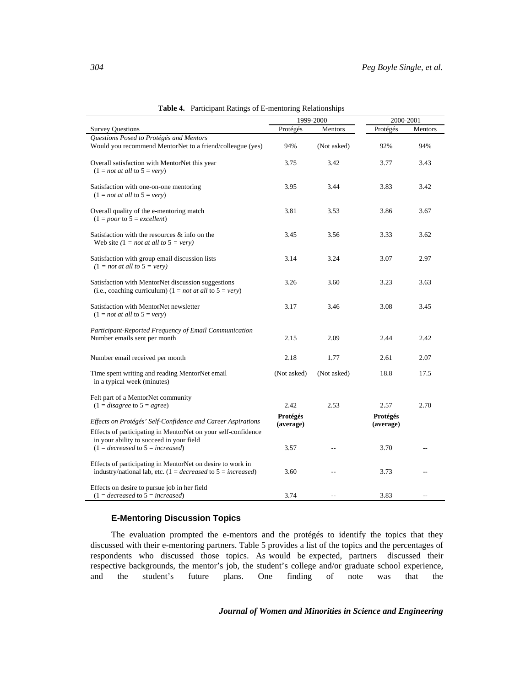|                                                                                                                                       | 1999-2000             |                | 2000-2001             |         |
|---------------------------------------------------------------------------------------------------------------------------------------|-----------------------|----------------|-----------------------|---------|
| <b>Survey Questions</b>                                                                                                               | Protégés              | Mentors        | Protégés              | Mentors |
| Questions Posed to Protégés and Mentors<br>Would you recommend MentorNet to a friend/colleague (yes)                                  | 94%                   | (Not asked)    | 92%                   | 94%     |
| Overall satisfaction with MentorNet this year<br>$(1 = not at all to 5 = very)$                                                       | 3.75                  | 3.42           | 3.77                  | 3.43    |
| Satisfaction with one-on-one mentoring<br>$(1 = not at all to 5 = very)$                                                              | 3.95                  | 3.44           | 3.83                  | 3.42    |
| Overall quality of the e-mentoring match<br>$(1 = poor to 5 = excellent)$                                                             | 3.81                  | 3.53           | 3.86                  | 3.67    |
| Satisfaction with the resources & info on the<br>Web site $(1 = not at all to 5 = very)$                                              | 3.45                  | 3.56           | 3.33                  | 3.62    |
| Satisfaction with group email discussion lists<br>$(1 = not at all to 5 = very)$                                                      | 3.14                  | 3.24           | 3.07                  | 2.97    |
| Satisfaction with MentorNet discussion suggestions<br>(i.e., coaching curriculum) (1 = <i>not at all</i> to $5 = very$ )              | 3.26                  | 3.60           | 3.23                  | 3.63    |
| Satisfaction with MentorNet newsletter<br>$(1 = not at all to 5 = very)$                                                              | 3.17                  | 3.46           | 3.08                  | 3.45    |
| Participant-Reported Frequency of Email Communication<br>Number emails sent per month                                                 | 2.15                  | 2.09           | 2.44                  | 2.42    |
| Number email received per month                                                                                                       | 2.18                  | 1.77           | 2.61                  | 2.07    |
| Time spent writing and reading MentorNet email<br>in a typical week (minutes)                                                         | (Not asked)           | (Not asked)    | 18.8                  | 17.5    |
| Felt part of a MentorNet community<br>$(1 = disagree to 5 = agree)$                                                                   | 2.42                  | 2.53           | 2.57                  | 2.70    |
| Effects on Protégés' Self-Confidence and Career Aspirations<br>Effects of participating in MentorNet on your self-confidence          | Protégés<br>(average) |                | Protégés<br>(average) |         |
| in your ability to succeed in your field<br>$(1 = decreased \text{ to } 5 = increased)$                                               | 3.57                  | $\overline{a}$ | 3.70                  |         |
| Effects of participating in MentorNet on desire to work in<br>industry/national lab, etc. $(1 = decreased \text{ to } 5 = increased)$ | 3.60                  |                | 3.73                  |         |
| Effects on desire to pursue job in her field<br>$(1 = decreased \text{ to } 5 = increased)$                                           | 3.74                  |                | 3.83                  |         |

**Table 4.** Participant Ratings of E-mentoring Relationships

# **E-Mentoring Discussion Topics**

The evaluation prompted the e-mentors and the protégés to identify the topics that they discussed with their e-mentoring partners. Table 5 provides a list of the topics and the percentages of respondents who discussed those topics. As would be expected, partners discussed their respective backgrounds, the mentor's job, the student's college and/or graduate school experience, and the student's future plans. One finding of note was that the

# *Journal of Women and Minorities in Science and Engineering*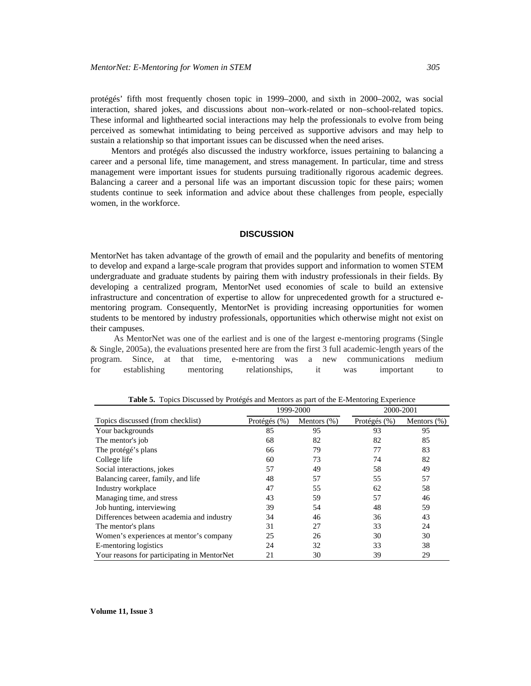protégés' fifth most frequently chosen topic in 1999–2000, and sixth in 2000–2002, was social interaction, shared jokes, and discussions about non–work-related or non–school-related topics. These informal and lighthearted social interactions may help the professionals to evolve from being perceived as somewhat intimidating to being perceived as supportive advisors and may help to sustain a relationship so that important issues can be discussed when the need arises.

Mentors and protégés also discussed the industry workforce, issues pertaining to balancing a career and a personal life, time management, and stress management. In particular, time and stress management were important issues for students pursuing traditionally rigorous academic degrees. Balancing a career and a personal life was an important discussion topic for these pairs; women students continue to seek information and advice about these challenges from people, especially women, in the workforce.

### **DISCUSSION**

MentorNet has taken advantage of the growth of email and the popularity and benefits of mentoring to develop and expand a large-scale program that provides support and information to women STEM undergraduate and graduate students by pairing them with industry professionals in their fields. By developing a centralized program, MentorNet used economies of scale to build an extensive infrastructure and concentration of expertise to allow for unprecedented growth for a structured ementoring program. Consequently, MentorNet is providing increasing opportunities for women students to be mentored by industry professionals, opportunities which otherwise might not exist on their campuses.

As MentorNet was one of the earliest and is one of the largest e-mentoring programs (Single & Single, 2005a), the evaluations presented here are from the first 3 full academic-length years of the program. Since, at that time, e-mentoring was a new communications medium for establishing mentoring relationships, it was important to

|                                             | 1999-2000    |                 | 2000-2001    |                |
|---------------------------------------------|--------------|-----------------|--------------|----------------|
| Topics discussed (from checklist)           | Protégés (%) | Mentors $(\% )$ | Protégés (%) | Mentors $(\%)$ |
| Your backgrounds                            | 85           | 95              | 93           | 95             |
| The mentor's job                            | 68           | 82              | 82           | 85             |
| The protégé's plans                         | 66           | 79              | 77           | 83             |
| College life                                | 60           | 73              | 74           | 82             |
| Social interactions, jokes                  | 57           | 49              | 58           | 49             |
| Balancing career, family, and life          | 48           | 57              | 55           | 57             |
| Industry workplace                          | 47           | 55              | 62           | 58             |
| Managing time, and stress                   | 43           | 59              | 57           | 46             |
| Job hunting, interviewing                   | 39           | 54              | 48           | 59             |
| Differences between academia and industry   | 34           | 46              | 36           | 43             |
| The mentor's plans                          | 31           | 27              | 33           | 24             |
| Women's experiences at mentor's company     | 25           | 26              | 30           | 30             |
| E-mentoring logistics                       | 24           | 32              | 33           | 38             |
| Your reasons for participating in MentorNet | 21           | 30              | 39           | 29             |

**Table 5.** Topics Discussed by Protégés and Mentors as part of the E-Mentoring Experience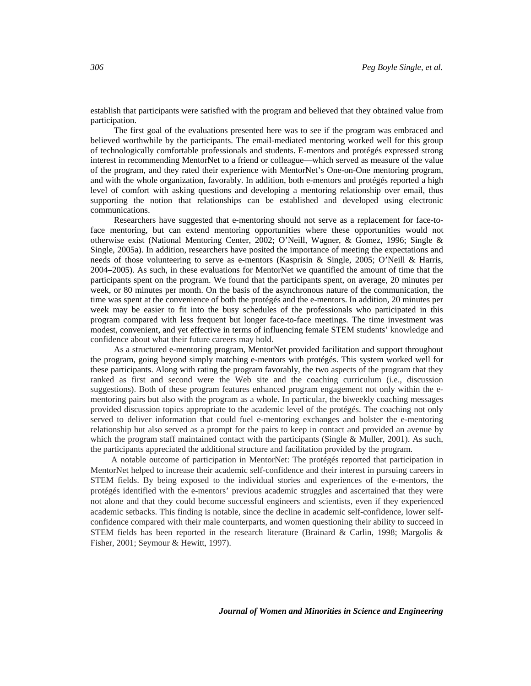establish that participants were satisfied with the program and believed that they obtained value from participation.

The first goal of the evaluations presented here was to see if the program was embraced and believed worthwhile by the participants. The email-mediated mentoring worked well for this group of technologically comfortable professionals and students. E-mentors and protégés expressed strong interest in recommending MentorNet to a friend or colleague—which served as measure of the value of the program, and they rated their experience with MentorNet's One-on-One mentoring program, and with the whole organization, favorably. In addition, both e-mentors and protégés reported a high level of comfort with asking questions and developing a mentoring relationship over email, thus supporting the notion that relationships can be established and developed using electronic communications.

Researchers have suggested that e-mentoring should not serve as a replacement for face-toface mentoring, but can extend mentoring opportunities where these opportunities would not otherwise exist (National Mentoring Center, 2002; O'Neill, Wagner, & Gomez, 1996; Single & Single, 2005a). In addition, researchers have posited the importance of meeting the expectations and needs of those volunteering to serve as e-mentors (Kasprisin & Single, 2005; O'Neill & Harris, 2004–2005). As such, in these evaluations for MentorNet we quantified the amount of time that the participants spent on the program. We found that the participants spent, on average, 20 minutes per week, or 80 minutes per month. On the basis of the asynchronous nature of the communication, the time was spent at the convenience of both the protégés and the e-mentors. In addition, 20 minutes per week may be easier to fit into the busy schedules of the professionals who participated in this program compared with less frequent but longer face-to-face meetings. The time investment was modest, convenient, and yet effective in terms of influencing female STEM students' knowledge and confidence about what their future careers may hold.

As a structured e-mentoring program, MentorNet provided facilitation and support throughout the program, going beyond simply matching e-mentors with protégés. This system worked well for these participants. Along with rating the program favorably, the two aspects of the program that they ranked as first and second were the Web site and the coaching curriculum (i.e., discussion suggestions). Both of these program features enhanced program engagement not only within the ementoring pairs but also with the program as a whole. In particular, the biweekly coaching messages provided discussion topics appropriate to the academic level of the protégés. The coaching not only served to deliver information that could fuel e-mentoring exchanges and bolster the e-mentoring relationship but also served as a prompt for the pairs to keep in contact and provided an avenue by which the program staff maintained contact with the participants (Single & Muller, 2001). As such, the participants appreciated the additional structure and facilitation provided by the program.

A notable outcome of participation in MentorNet: The protégés reported that participation in MentorNet helped to increase their academic self-confidence and their interest in pursuing careers in STEM fields. By being exposed to the individual stories and experiences of the e-mentors, the protégés identified with the e-mentors' previous academic struggles and ascertained that they were not alone and that they could become successful engineers and scientists, even if they experienced academic setbacks. This finding is notable, since the decline in academic self-confidence, lower selfconfidence compared with their male counterparts, and women questioning their ability to succeed in STEM fields has been reported in the research literature (Brainard & Carlin, 1998; Margolis & Fisher, 2001; Seymour & Hewitt, 1997).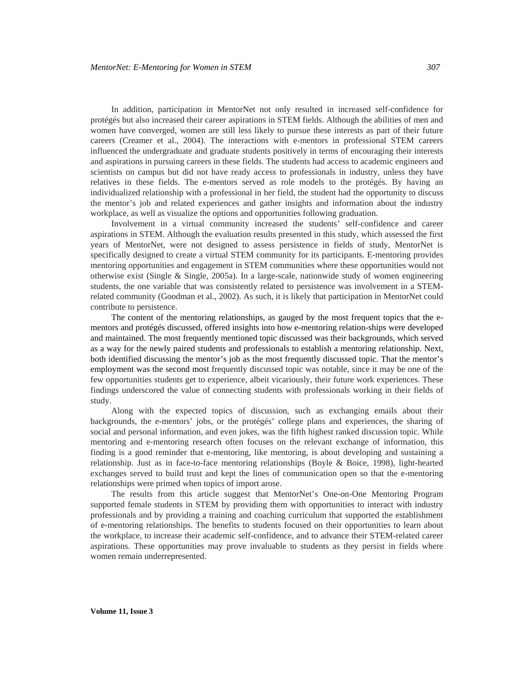In addition, participation in MentorNet not only resulted in increased self-confidence for protégés but also increased their career aspirations in STEM fields. Although the abilities of men and women have converged, women are still less likely to pursue these interests as part of their future careers (Creamer et al., 2004). The interactions with e-mentors in professional STEM careers influenced the undergraduate and graduate students positively in terms of encouraging their interests and aspirations in pursuing careers in these fields. The students had access to academic engineers and scientists on campus but did not have ready access to professionals in industry, unless they have relatives in these fields. The e-mentors served as role models to the protégés. By having an individualized relationship with a professional in her field, the student had the opportunity to discuss the mentor's job and related experiences and gather insights and information about the industry workplace, as well as visualize the options and opportunities following graduation.

Involvement in a virtual community increased the students' self-confidence and career aspirations in STEM. Although the evaluation results presented in this study, which assessed the first years of MentorNet, were not designed to assess persistence in fields of study, MentorNet is specifically designed to create a virtual STEM community for its participants. E-mentoring provides mentoring opportunities and engagement in STEM communities where these opportunities would not otherwise exist (Single & Single, 2005a). In a large-scale, nationwide study of women engineering students, the one variable that was consistently related to persistence was involvement in a STEMrelated community (Goodman et al., 2002). As such, it is likely that participation in MentorNet could contribute to persistence.

The content of the mentoring relationships, as gauged by the most frequent topics that the ementors and protégés discussed, offered insights into how e-mentoring relation-ships were developed and maintained. The most frequently mentioned topic discussed was their backgrounds, which served as a way for the newly paired students and professionals to establish a mentoring relationship. Next, both identified discussing the mentor's job as the most frequently discussed topic. That the mentor's employment was the second most frequently discussed topic was notable, since it may be one of the few opportunities students get to experience, albeit vicariously, their future work experiences. These findings underscored the value of connecting students with professionals working in their fields of study.

Along with the expected topics of discussion, such as exchanging emails about their backgrounds, the e-mentors' jobs, or the protégés' college plans and experiences, the sharing of social and personal information, and even jokes, was the fifth highest ranked discussion topic. While mentoring and e-mentoring research often focuses on the relevant exchange of information, this finding is a good reminder that e-mentoring, like mentoring, is about developing and sustaining a relationship. Just as in face-to-face mentoring relationships (Boyle & Boice, 1998), light-hearted exchanges served to build trust and kept the lines of communication open so that the e-mentoring relationships were primed when topics of import arose.

The results from this article suggest that MentorNet's One-on-One Mentoring Program supported female students in STEM by providing them with opportunities to interact with industry professionals and by providing a training and coaching curriculum that supported the establishment of e-mentoring relationships. The benefits to students focused on their opportunities to learn about the workplace, to increase their academic self-confidence, and to advance their STEM-related career aspirations. These opportunities may prove invaluable to students as they persist in fields where women remain underrepresented.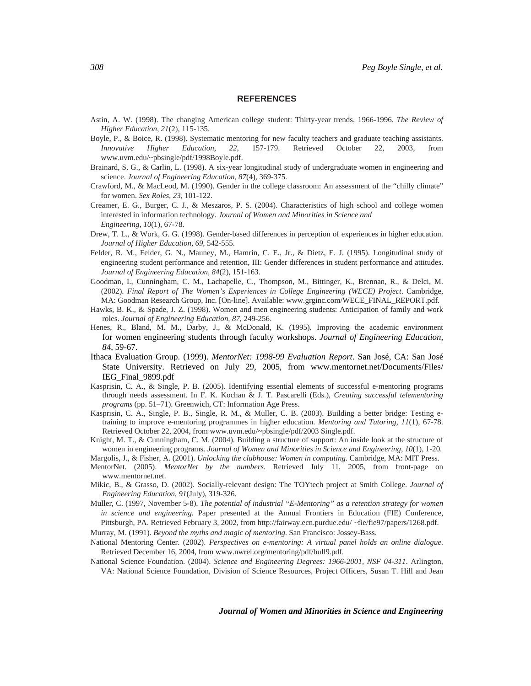#### **REFERENCES**

- Astin, A. W. (1998). The changing American college student: Thirty-year trends, 1966-1996. *The Review of Higher Education, 21*(2), 115-135.
- Boyle, P., & Boice, R. (1998). Systematic mentoring for new faculty teachers and graduate teaching assistants. *Innovative Higher Education, 22*, 157-179. Retrieved October 22, 2003, from www.uvm.edu/~pbsingle/pdf/1998Boyle.pdf.
- Brainard, S. G., & Carlin, L. (1998). A six-year longitudinal study of undergraduate women in engineering and science. *Journal of Engineering Education, 87*(4), 369-375.
- Crawford, M., & MacLeod, M. (1990). Gender in the college classroom: An assessment of the "chilly climate" for women. *Sex Roles, 23*, 101-122.
- Creamer, E. G., Burger, C. J., & Meszaros, P. S. (2004). Characteristics of high school and college women interested in information technology. *Journal of Women and Minorities in Science and Engineering, 10*(1), 67-78.
- Drew, T. L., & Work, G. G. (1998). Gender-based differences in perception of experiences in higher education. *Journal of Higher Education, 69*, 542-555.
- Felder, R. M., Felder, G. N., Mauney, M., Hamrin, C. E., Jr., & Dietz, E. J. (1995). Longitudinal study of engineering student performance and retention, III: Gender differences in student performance and attitudes. *Journal of Engineering Education, 84*(2), 151-163.
- Goodman, I., Cunningham, C. M., Lachapelle, C., Thompson, M., Bittinger, K., Brennan, R., & Delci, M. (2002). *Final Report of The Women's Experiences in College Engineering (WECE) Project*. Cambridge, MA: Goodman Research Group, Inc. [On-line]. Available: www.grginc.com/WECE\_FINAL\_REPORT.pdf.
- Hawks, B. K., & Spade, J. Z. (1998). Women and men engineering students: Anticipation of family and work roles. *Journal of Engineering Education, 87*, 249-256.
- Henes, R., Bland, M. M., Darby, J., & McDonald, K. (1995). Improving the academic environment for women engineering students through faculty workshops. *Journal of Engineering Education, 84*, 59-67.
- Ithaca Evaluation Group. (1999). *MentorNet: 1998-99 Evaluation Report*. San José, CA: San José State University. Retrieved on July 29, 2005, from www.mentornet.net/Documents/Files/ IEG\_Final\_9899.pdf
- Kasprisin, C. A., & Single, P. B. (2005). Identifying essential elements of successful e-mentoring programs through needs assessment. In F. K. Kochan & J. T. Pascarelli (Eds.), *Creating successful telementoring programs* (pp. 51–71). Greenwich, CT: Information Age Press.
- Kasprisin, C. A., Single, P. B., Single, R. M., & Muller, C. B. (2003). Building a better bridge: Testing etraining to improve e-mentoring programmes in higher education. *Mentoring and Tutoring, 11*(1), 67-78. Retrieved October 22, 2004, from www.uvm.edu/~pbsingle/pdf/2003 Single.pdf.
- Knight, M. T., & Cunningham, C. M. (2004). Building a structure of support: An inside look at the structure of women in engineering programs. *Journal of Women and Minorities in Science and Engineering, 10*(1), 1-20.
- Margolis, J., & Fisher, A. (2001). *Unlocking the clubhouse: Women in computing*. Cambridge, MA: MIT Press.
- MentorNet. (2005). *MentorNet by the numbers*. Retrieved July 11, 2005, from front-page on www.mentornet.net.
- Mikic, B., & Grasso, D. (2002). Socially-relevant design: The TOYtech project at Smith College. *Journal of Engineering Education, 91*(July), 319-326.
- Muller, C. (1997, November 5-8). *The potential of industrial "E-Mentoring" as a retention strategy for women in science and engineering.* Paper presented at the Annual Frontiers in Education (FIE) Conference, Pittsburgh, PA. Retrieved February 3, 2002, from http://fairway.ecn.purdue.edu/ ~fie/fie97/papers/1268.pdf.
- Murray, M. (1991). *Beyond the myths and magic of mentoring*. San Francisco: Jossey-Bass.
- National Mentoring Center. (2002). *Perspectives on e-mentoring: A virtual panel holds an online dialogue*. Retrieved December 16, 2004, from www.nwrel.org/mentoring/pdf/bull9.pdf.
- National Science Foundation. (2004). *Science and Engineering Degrees: 1966-2001, NSF 04-311*. Arlington, VA: National Science Foundation, Division of Science Resources, Project Officers, Susan T. Hill and Jean